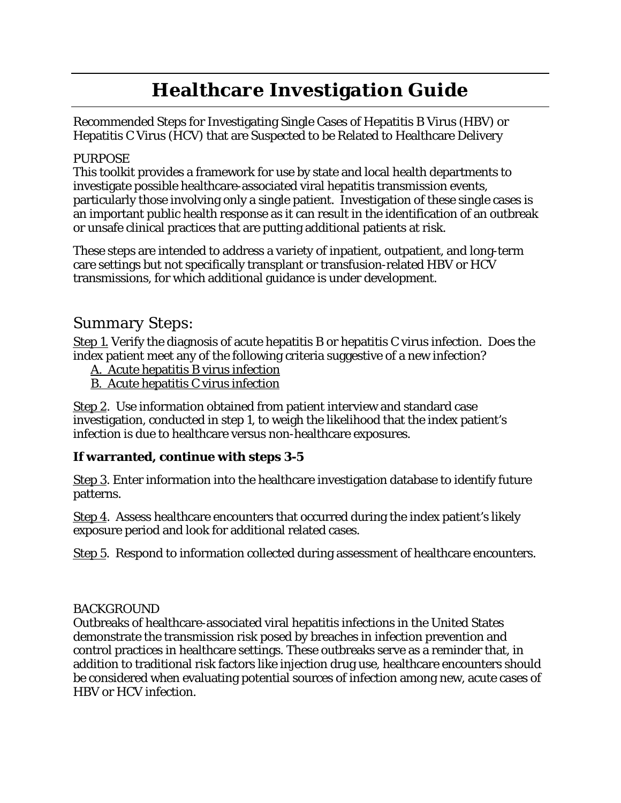# **Healthcare Investigation Guide**

Recommended Steps for Investigating Single Cases of Hepatitis B Virus (HBV) or Hepatitis C Virus (HCV) that are Suspected to be Related to Healthcare Delivery

#### PURPOSE

This toolkit provides a framework for use by state and local health departments to investigate possible healthcare-associated viral hepatitis transmission events, particularly those involving only a single patient. Investigation of these single cases is an important public health response as it can result in the identification of an outbreak or unsafe clinical practices that are putting additional patients at risk.

These steps are intended to address a variety of inpatient, outpatient, and long-term care settings but not specifically transplant or transfusion-related HBV or HCV transmissions, for which additional guidance is under development.

### Summary Steps:

[Step 1.](#page-1-0) Verify the diagnosis of acute hepatitis B or hepatitis C virus infection. Does the index patient meet any of the following criteria suggestive of a new infection?

[A. Acute hepatitis B virus infection](#page-1-1)

[B. Acute hepatitis C virus infection](#page-2-0)

[Step 2.](#page-2-1) Use information obtained from patient interview and standard case investigation, conducted in step 1, to weigh the likelihood that the index patient's infection is due to healthcare versus non-healthcare exposures.

#### **If warranted, continue with steps 3-5**

[Step 3.](#page-2-2) Enter information into the healthcare investigation database to identify future patterns.

[Step 4.](#page-3-0) Assess healthcare encounters that occurred during the index patient's likely exposure period and look for additional related cases.

[Step 5.](#page-5-0) Respond to information collected during assessment of healthcare encounters.

#### BACKGROUND

Outbreaks of healthcare-associated viral hepatitis infections in the United States demonstrate the transmission risk posed by breaches in infection prevention and control practices in healthcare settings. These outbreaks serve as a reminder that, in addition to traditional risk factors like injection drug use, healthcare encounters should be considered when evaluating potential sources of infection among new, acute cases of HBV or HCV infection.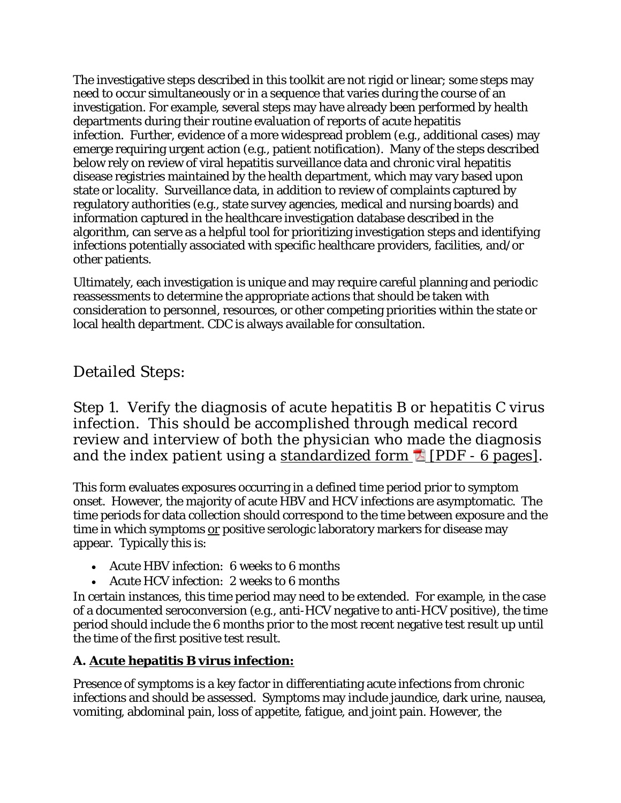The investigative steps described in this toolkit are not rigid or linear; some steps may need to occur simultaneously or in a sequence that varies during the course of an investigation. For example, several steps may have already been performed by health departments during their routine evaluation of reports of acute hepatitis infection. Further, evidence of a more widespread problem (e.g., additional cases) may emerge requiring urgent action (e.g., patient notification). Many of the steps described below rely on review of viral hepatitis surveillance data and chronic viral hepatitis disease registries maintained by the health department, which may vary based upon state or locality. Surveillance data, in addition to review of complaints captured by regulatory authorities (e.g., state survey agencies, medical and nursing boards) and information captured in the healthcare investigation database described in the algorithm, can serve as a helpful tool for prioritizing investigation steps and identifying infections potentially associated with specific healthcare providers, facilities, and/or other patients.

Ultimately, each investigation is unique and may require careful planning and periodic reassessments to determine the appropriate actions that should be taken with consideration to personnel, resources, or other competing priorities within the state or local health department. CDC is always available for consultation.

## Detailed Steps:

<span id="page-1-0"></span>Step 1. Verify the diagnosis of acute hepatitis B or hepatitis C virus infection. This should be accomplished through medical record review and interview of both the physician who made the diagnosis and the index patient using a standardized form  $\Box$  [PDF - 6 pages].

This form evaluates exposures occurring in a defined time period prior to symptom onset. However, the majority of acute HBV and HCV infections are asymptomatic. The time periods for data collection should correspond to the time between exposure and the time in which symptoms or positive serologic laboratory markers for disease may appear. Typically this is:

- Acute HBV infection: 6 weeks to 6 months
- Acute HCV infection: 2 weeks to 6 months

In certain instances, this time period may need to be extended. For example, in the case of a documented seroconversion (e.g., anti-HCV negative to anti-HCV positive), the time period should include the 6 months prior to the most recent negative test result up until the time of the first positive test result.

### <span id="page-1-1"></span>**A. Acute hepatitis B virus infection:**

Presence of symptoms is a key factor in differentiating acute infections from chronic infections and should be assessed. Symptoms may include jaundice, dark urine, nausea, vomiting, abdominal pain, loss of appetite, fatigue, and joint pain. However, the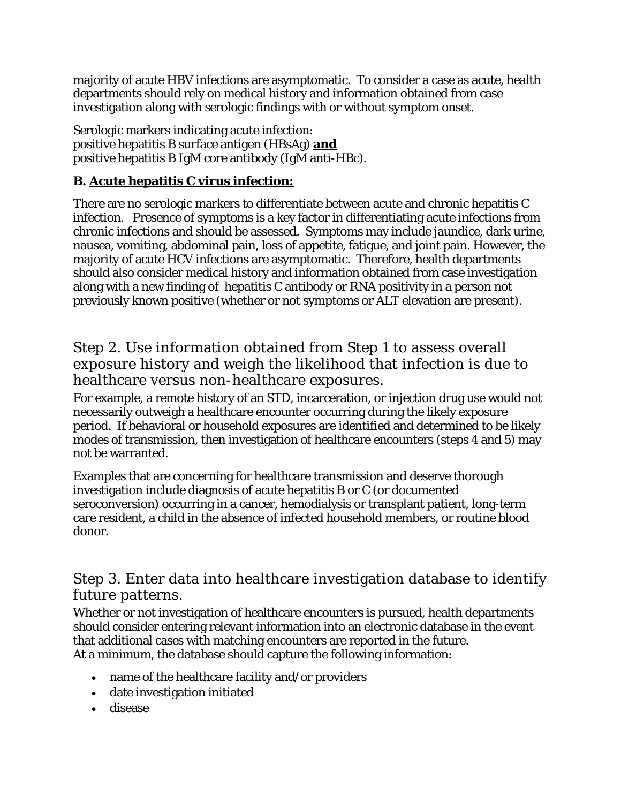majority of acute HBV infections are asymptomatic. To consider a case as acute, health departments should rely on medical history and information obtained from case investigation along with serologic findings with or without symptom onset.

Serologic markers indicating acute infection: positive hepatitis B surface antigen (HBsAg) **and** positive hepatitis B IgM core antibody (IgM anti-HBc).

### <span id="page-2-0"></span>**B. Acute hepatitis C virus infection:**

There are no serologic markers to differentiate between acute and chronic hepatitis C infection. Presence of symptoms is a key factor in differentiating acute infections from chronic infections and should be assessed. Symptoms may include jaundice, dark urine, nausea, vomiting, abdominal pain, loss of appetite, fatigue, and joint pain. However, the majority of acute HCV infections are asymptomatic. Therefore, health departments should also consider medical history and information obtained from case investigation along with a new finding of hepatitis C antibody or RNA positivity in a person not previously known positive (whether or not symptoms or ALT elevation are present).

### <span id="page-2-1"></span>Step 2. Use information obtained from Step 1 to assess overall exposure history and weigh the likelihood that infection is due to healthcare versus non-healthcare exposures.

For example, a remote history of an STD, incarceration, or injection drug use would not necessarily outweigh a healthcare encounter occurring during the likely exposure period. If behavioral or household exposures are identified and determined to be likely modes of transmission, then investigation of healthcare encounters (steps 4 and 5) may not be warranted.

Examples that are concerning for healthcare transmission and deserve thorough investigation include diagnosis of acute hepatitis B or C (or documented seroconversion) occurring in a cancer, hemodialysis or transplant patient, long-term care resident, a child in the absence of infected household members, or routine blood donor.

### <span id="page-2-2"></span>Step 3. Enter data into healthcare investigation database to identify future patterns.

Whether or not investigation of healthcare encounters is pursued, health departments should consider entering relevant information into an electronic database in the event that additional cases with matching encounters are reported in the future. At a minimum, the database should capture the following information:

- name of the healthcare facility and/or providers
- date investigation initiated
- disease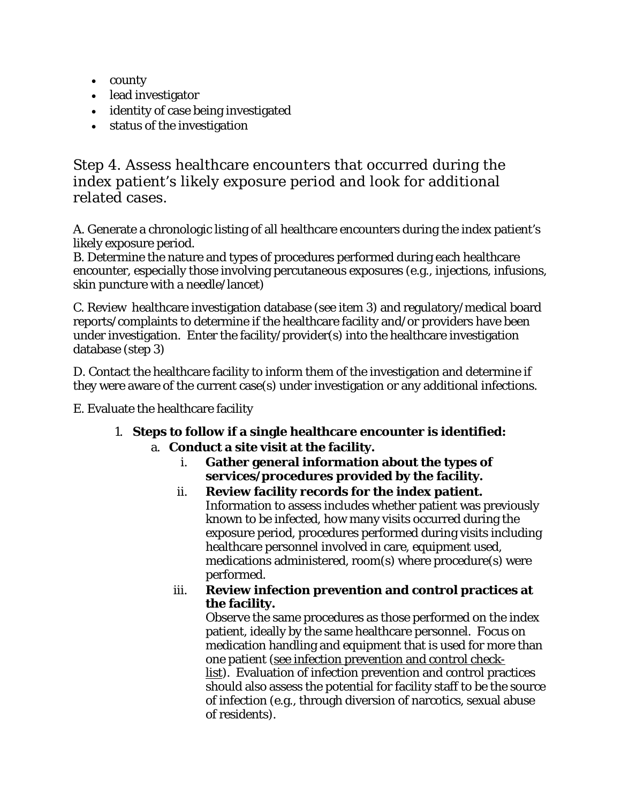- county
- lead investigator
- identity of case being investigated
- status of the investigation

<span id="page-3-0"></span>Step 4. Assess healthcare encounters that occurred during the index patient's likely exposure period and look for additional related cases.

A. Generate a chronologic listing of all healthcare encounters during the index patient's likely exposure period.

B. Determine the nature and types of procedures performed during each healthcare encounter, especially those involving percutaneous exposures (e.g., injections, infusions, skin puncture with a needle/lancet)

C. Review healthcare investigation database (see item 3) and regulatory/medical board reports/complaints to determine if the healthcare facility and/or providers have been under investigation. Enter the facility/provider(s) into the healthcare investigation database (step 3)

D. Contact the healthcare facility to inform them of the investigation and determine if they were aware of the current case(s) under investigation or any additional infections.

E. Evaluate the healthcare facility

- 1. **Steps to follow if a single healthcare encounter is identified:**  a. **Conduct a site visit at the facility.** 
	- i. **Gather general information about the types of services/procedures provided by the facility.**
	- ii. **Review facility records for the index patient.**  Information to assess includes whether patient was previously known to be infected, how many visits occurred during the exposure period, procedures performed during visits including healthcare personnel involved in care, equipment used, medications administered, room(s) where procedure(s) were performed.
	- iii. **Review infection prevention and control practices at the facility.**

Observe the same procedures as those performed on the index patient, ideally by the same healthcare personnel. Focus on medication handling and equipment that is used for more than one patient [\(see infection prevention and control check](http://wwwdev.cdc.gov/hepatitis/Outbreaks/HealthcareInvestigateCheckList.htm)[list\)](http://wwwdev.cdc.gov/hepatitis/Outbreaks/HealthcareInvestigateCheckList.htm). Evaluation of infection prevention and control practices should also assess the potential for facility staff to be the source of infection (e.g., through diversion of narcotics, sexual abuse of residents).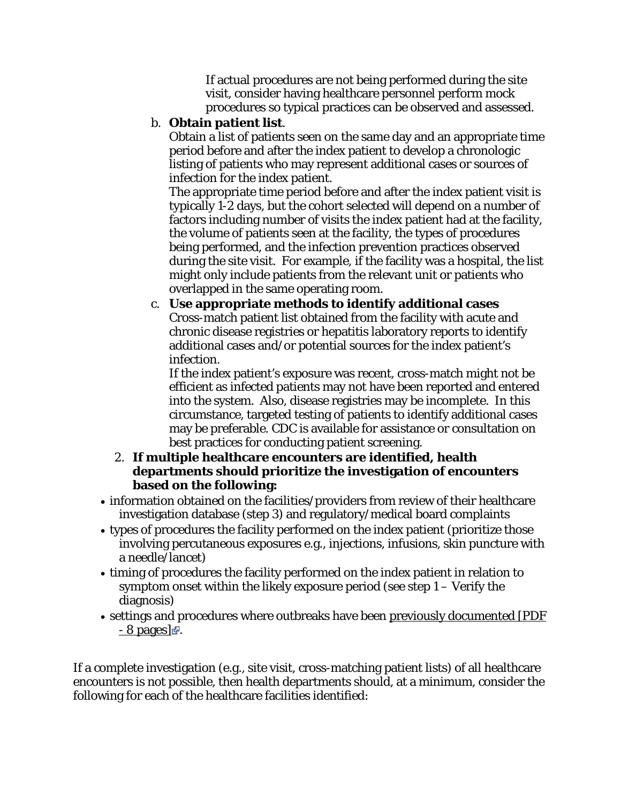If actual procedures are not being performed during the site visit, consider having healthcare personnel perform mock procedures so typical practices can be observed and assessed.

### b. **Obtain patient list**.

Obtain a list of patients seen on the same day and an appropriate time period before and after the index patient to develop a chronologic listing of patients who may represent additional cases or sources of infection for the index patient.

The appropriate time period before and after the index patient visit is typically 1-2 days, but the cohort selected will depend on a number of factors including number of visits the index patient had at the facility, the volume of patients seen at the facility, the types of procedures being performed, and the infection prevention practices observed during the site visit. For example, if the facility was a hospital, the list might only include patients from the relevant unit or patients who overlapped in the same operating room.

#### c. **Use appropriate methods to identify additional cases**  Cross-match patient list obtained from the facility with acute and chronic disease registries or hepatitis laboratory reports to identify additional cases and/or potential sources for the index patient's infection.

If the index patient's exposure was recent, cross-match might not be efficient as infected patients may not have been reported and entered into the system. Also, disease registries may be incomplete. In this circumstance, targeted testing of patients to identify additional cases may be preferable. CDC is available for assistance or consultation on best practices for conducting patient screening.

#### 2. **If multiple healthcare encounters are identified, health departments should prioritize the investigation of encounters based on the following:**

- information obtained on the facilities/providers from review of their healthcare investigation database (step 3) and regulatory/medical board complaints
- types of procedures the facility performed on the index patient (prioritize those involving percutaneous exposures e.g., injections, infusions, skin puncture with a needle/lancet)
- timing of procedures the facility performed on the index patient in relation to symptom onset within the likely exposure period (see step 1 – Verify the diagnosis)
- settings and procedures where outbreaks have been [previously documented \[PDF](http://www.annals.org/content/150/1/33.full.pdf+html)   $-8$  pages]  $\mathbb{R}$ [.](http://www.annals.org/content/150/1/33.full.pdf+html)

If a complete investigation (e.g., site visit, cross-matching patient lists) of all healthcare encounters is not possible, then health departments should, at a minimum, consider the following for each of the healthcare facilities identified: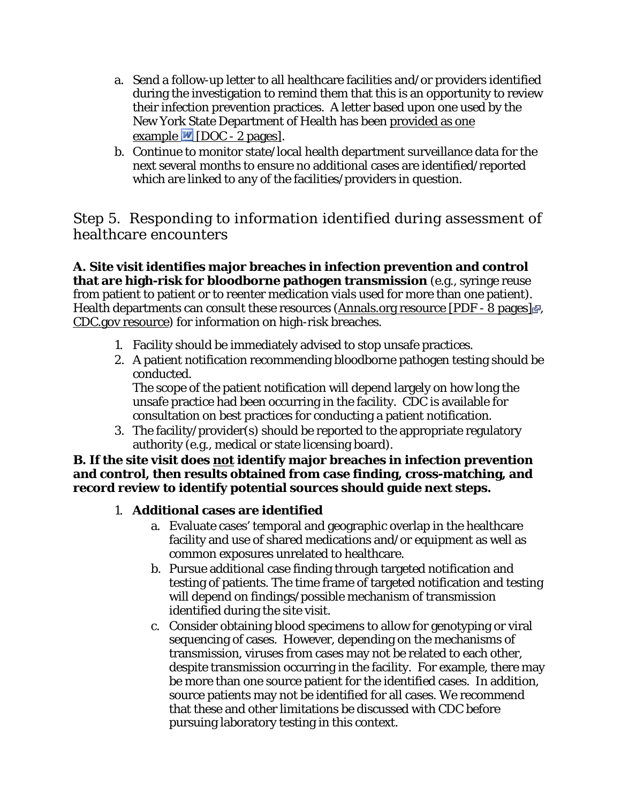- a. Send a follow-up letter to all healthcare facilities and/or providers identified during the investigation to remind them that this is an opportunity to review their infection prevention practices. A letter based upon one used by the New York State Department of Health has been [provided as one](http://wwwdev.cdc.gov/hepatitis/Outbreaks/Docs/HepatitisInvestigationLetterToFacilities.docx)  example  $\blacksquare$  [DOC - 2 pages].
- b. Continue to monitor state/local health department surveillance data for the next several months to ensure no additional cases are identified/reported which are linked to any of the facilities/providers in question.

### <span id="page-5-0"></span>Step 5. Responding to information identified during assessment of healthcare encounters

**A. Site visit identifies major breaches in infection prevention and control that are high-risk for bloodborne pathogen transmission** (e.g., syringe reuse from patient to patient or to reenter medication vials used for more than one patient). Health departments can consult these resources [\(Annals.org resource \[PDF - 8 pages\]](http://www.annals.org/content/150/1/33.full.pdf+html)  $\mathbb{F}$ . [CDC.gov resource\)](http://www.cdc.gov/HAI/surveillance/steps_for_eval_IC_breach.html) for information on high-risk breaches.

- 1. Facility should be immediately advised to stop unsafe practices.
- 2. A patient notification recommending bloodborne pathogen testing should be conducted.

The scope of the patient notification will depend largely on how long the unsafe practice had been occurring in the facility. CDC is available for consultation on best practices for conducting a patient notification.

3. The facility/provider(s) should be reported to the appropriate regulatory authority (e.g., medical or state licensing board).

#### **B. If the site visit does not identify major breaches in infection prevention and control, then results obtained from case finding, cross-matching, and record review to identify potential sources should guide next steps.**

### 1. **Additional cases are identified**

- a. Evaluate cases' temporal and geographic overlap in the healthcare facility and use of shared medications and/or equipment as well as common exposures unrelated to healthcare.
- b. Pursue additional case finding through targeted notification and testing of patients. The time frame of targeted notification and testing will depend on findings/possible mechanism of transmission identified during the site visit.
- c. Consider obtaining blood specimens to allow for genotyping or viral sequencing of cases. However, depending on the mechanisms of transmission, viruses from cases may not be related to each other, despite transmission occurring in the facility. For example, there may be more than one source patient for the identified cases. In addition, source patients may not be identified for all cases. We recommend that these and other limitations be discussed with CDC before pursuing laboratory testing in this context.